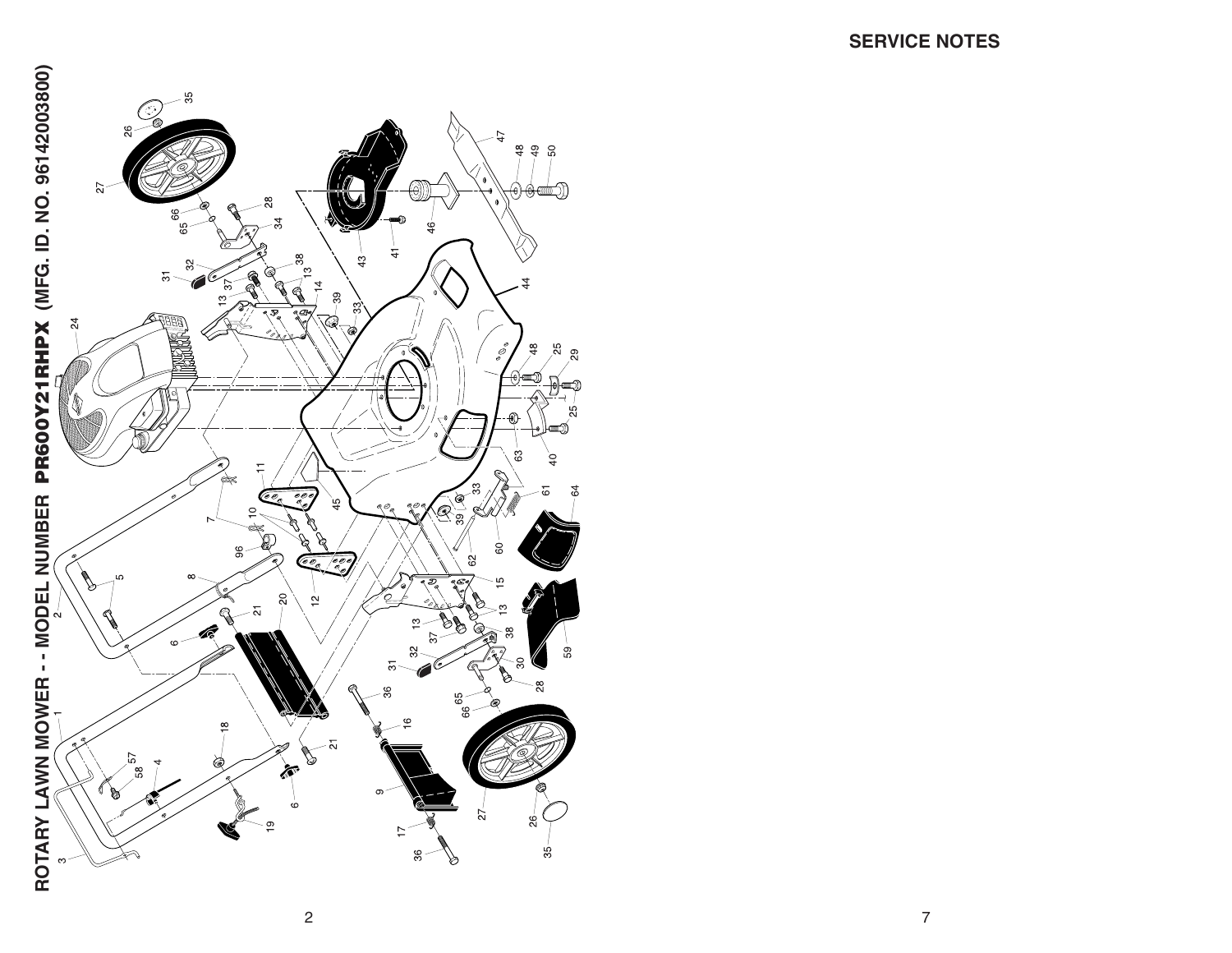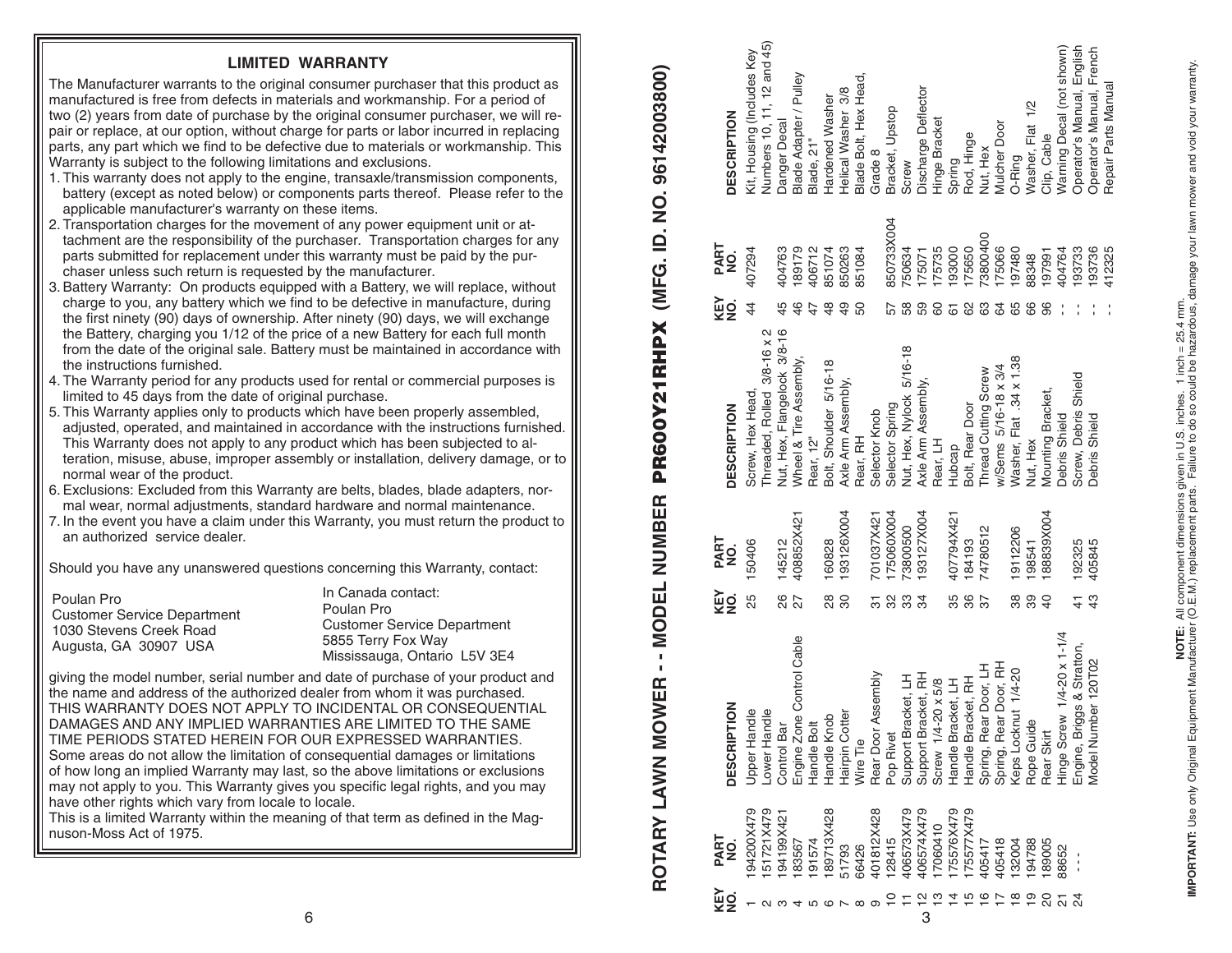| MOWER -- MODEL NUMBER PR600Y21RHPX (MFG. ID. NO. 96142003800 | <b>DESCRIPTION</b>  |
|--------------------------------------------------------------|---------------------|
|                                                              | PART<br>NO.         |
|                                                              | –<br>≻<br>⊻9:       |
|                                                              | <b>DESCRIPTION</b>  |
|                                                              | KEY PART<br>NO. NO. |
|                                                              |                     |
|                                                              |                     |
| ROTARY LAW                                                   | <b>PART</b><br>NO.  |
|                                                              | πō                  |

| ¥g<br>⊻g – ∾ | <b>PART<br/> 10.</b><br>194200X479<br>194199X421<br>194199X421<br>19419X428<br>1941873X428<br>194788<br>500410<br>19478440657X479<br>194784405417<br>19478405417<br>19478405417<br>194788 | <b>DESCRIPTION</b>                                                                                                                                                                                                                                                       | ¥ĕ<br>¥ĕ        | PART<br>NO. | <b>DESCRIPTION</b>          |                | KEY PART<br>NO.<br>NO. | <b>DESCRIPTION</b>         |
|--------------|-------------------------------------------------------------------------------------------------------------------------------------------------------------------------------------------|--------------------------------------------------------------------------------------------------------------------------------------------------------------------------------------------------------------------------------------------------------------------------|-----------------|-------------|-----------------------------|----------------|------------------------|----------------------------|
|              |                                                                                                                                                                                           | Upper Handle<br>Lower Handle<br>Control Bar<br>Engine Zone Control Cable<br>Handle Bolt<br>Handle Knob<br>Handle Knob<br>Mire Tie<br>Pop Rivet<br>Support Bracket, HH<br>Support Bracket, HH<br>Sorrug, Rear Door, HH<br>Handle Bracket, HH<br>Handle Bracket, HH<br>Han | 25              | 150406      | Screw, Hex Head,            | $\overline{4}$ | 407294                 | Kit, Housing (Includes Key |
|              |                                                                                                                                                                                           |                                                                                                                                                                                                                                                                          |                 |             | Threaded, Rolled 3/8-16 x 2 |                |                        | Numbers 10, 11, 12 and 45) |
|              |                                                                                                                                                                                           |                                                                                                                                                                                                                                                                          | 26              | 145212      | Nut, Hex, Flangelock 3/8-16 | 45             | 404763                 | Danger Decal               |
|              |                                                                                                                                                                                           |                                                                                                                                                                                                                                                                          | 27              | 408852X421  | Wheel & Tire Assembly,      | $\frac{6}{4}$  | 189179                 | Blade Adapter / Pulley     |
|              |                                                                                                                                                                                           |                                                                                                                                                                                                                                                                          |                 |             | Rear, 12"                   |                | 406712                 | Blade, 21"                 |
| 0 0 0 0 0    |                                                                                                                                                                                           |                                                                                                                                                                                                                                                                          | 8               | 160828      | Bolt, Shoulder 5/16-18      | $\frac{8}{4}$  | 851074                 | Hardened Washer            |
|              |                                                                                                                                                                                           |                                                                                                                                                                                                                                                                          | 30              | 193126X004  | Axle Arm Assembly,          | 49             | 850263                 | Helical Washer 3/8         |
|              |                                                                                                                                                                                           |                                                                                                                                                                                                                                                                          |                 |             | Rear, RH                    |                | 851084                 | Blade Bolt, Hex Head,      |
|              |                                                                                                                                                                                           |                                                                                                                                                                                                                                                                          | 51              | 701037X421  | Selector Knob               |                |                        | Grade 8                    |
|              |                                                                                                                                                                                           |                                                                                                                                                                                                                                                                          | SS              | 75060X004   | Selector Spring             | 57             | 850733X004             | Bracket, Upstop            |
|              |                                                                                                                                                                                           |                                                                                                                                                                                                                                                                          | က္က             | '3800500    | Nut, Hex, Nylock 5/16-18    | 58             | 750634                 | Screw                      |
|              |                                                                                                                                                                                           |                                                                                                                                                                                                                                                                          | ಜೆ              | 193127X004  | Axle Arm Assembly,          | ൭              | 175071                 | Discharge Deflector        |
|              |                                                                                                                                                                                           |                                                                                                                                                                                                                                                                          |                 |             | Rear, LH                    |                | 175735                 | Hinge Bracket              |
|              |                                                                                                                                                                                           |                                                                                                                                                                                                                                                                          | 35              | 407794X421  | Hubcap                      |                | 93000                  |                            |
|              |                                                                                                                                                                                           |                                                                                                                                                                                                                                                                          | 36              | 184193      | Bolt, Rear Door             | 82             | 175650                 | Spring<br>Rod, Hinge       |
|              |                                                                                                                                                                                           |                                                                                                                                                                                                                                                                          | 37              | 74780512    | Thread Cutting Screw        |                | 73800400               | Nut, Hex                   |
|              |                                                                                                                                                                                           |                                                                                                                                                                                                                                                                          |                 |             | w/Sems 5/16-18 x 3/4        | 3              | 175066                 | Mulcher Door               |
|              |                                                                                                                                                                                           |                                                                                                                                                                                                                                                                          | 88              | 19112206    | Washer, Flat .34 x 1.38     | 89             | 084761                 | O-Ring                     |
|              |                                                                                                                                                                                           |                                                                                                                                                                                                                                                                          | 39              | 98541       | Nut, Hex                    | 89             | 88348                  | Washer, Flat 1/2           |
|              | 189005                                                                                                                                                                                    |                                                                                                                                                                                                                                                                          | $\overline{40}$ | 188839X004  | Mounting Bracket,           | 96             | 197991                 | Clip, Cable                |
|              | 8652                                                                                                                                                                                      |                                                                                                                                                                                                                                                                          |                 |             | Debris Shield               |                | 404764                 | Warning Decal (not shown)  |
|              |                                                                                                                                                                                           |                                                                                                                                                                                                                                                                          | $\frac{1}{4}$   | 192325      | Screw, Debris Shield        |                | 193733                 | Operator's Manual, English |
|              |                                                                                                                                                                                           |                                                                                                                                                                                                                                                                          | $\frac{3}{4}$   | 405845      | Debris Shield               |                | 193736                 | Operator's Manual, French  |
|              |                                                                                                                                                                                           |                                                                                                                                                                                                                                                                          |                 |             |                             |                | 412325                 | Repair Parts Manual        |

3

**IMPORTANT:** Use only Original Equipment Manufacturer (O.E.M.) replacement of mensions given in U.S. inches. 1 inch = 25.4 mm.<br>IMPORTANT: Use only Original Equipment Manufacturer (O.E.M.) replacement parts. Failure to do s **IMPORTANT:** Use only Original Equipment Manufacturer (O.E.M.) replacement parts. Failure to do so could be hazardous, damage your lawn mower and void your warranty. **NOTE:** All component dimensions given in U.S. inches. 1 inch = 25.4 mm.